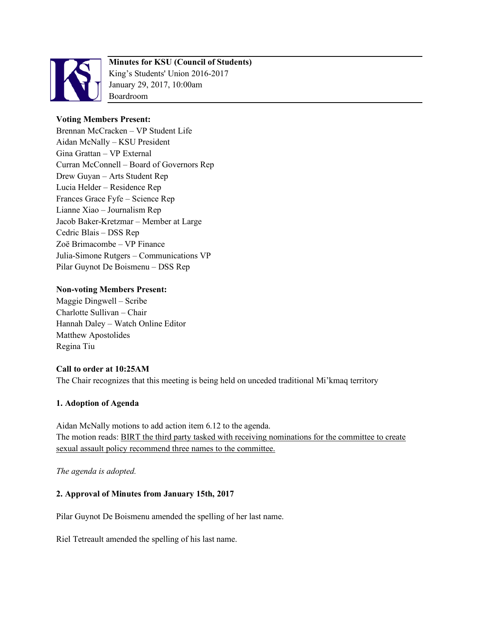

# **Minutes for KSU (Council of Students)**

King's Students' Union 2016-2017 January 29, 2017, 10:00am Boardroom

## **Voting Members Present:**

Brennan McCracken – VP Student Life Aidan McNally – KSU President Gina Grattan – VP External Curran McConnell – Board of Governors Rep Drew Guyan – Arts Student Rep Lucia Helder – Residence Rep Frances Grace Fyfe – Science Rep Lianne Xiao – Journalism Rep Jacob Baker-Kretzmar – Member at Large Cedric Blais – DSS Rep Zoë Brimacombe – VP Finance Julia-Simone Rutgers – Communications VP Pilar Guynot De Boismenu – DSS Rep

## **Non-voting Members Present:**

Maggie Dingwell – Scribe Charlotte Sullivan – Chair Hannah Daley – Watch Online Editor Matthew Apostolides Regina Tiu

#### **Call to order at 10:25AM**

The Chair recognizes that this meeting is being held on unceded traditional Mi'kmaq territory

#### **1. Adoption of Agenda**

Aidan McNally motions to add action item 6.12 to the agenda. The motion reads: **BIRT** the third party tasked with receiving nominations for the committee to create sexual assault policy recommend three names to the committee.

*The agenda is adopted.*

# **2. Approval of Minutes from January 15th, 2017**

Pilar Guynot De Boismenu amended the spelling of her last name.

Riel Tetreault amended the spelling of his last name.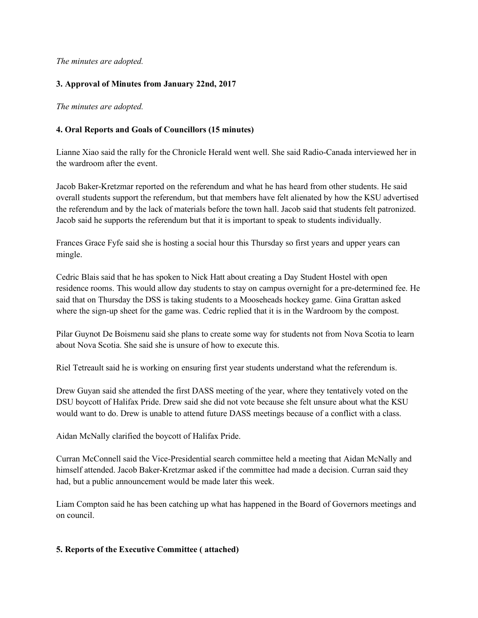*The minutes are adopted.*

## **3. Approval of Minutes from January 22nd, 2017**

*The minutes are adopted.*

## **4. Oral Reports and Goals of Councillors (15 minutes)**

Lianne Xiao said the rally for the Chronicle Herald went well. She said Radio-Canada interviewed her in the wardroom after the event.

Jacob Baker-Kretzmar reported on the referendum and what he has heard from other students. He said overall students support the referendum, but that members have felt alienated by how the KSU advertised the referendum and by the lack of materials before the town hall. Jacob said that students felt patronized. Jacob said he supports the referendum but that it is important to speak to students individually.

Frances Grace Fyfe said she is hosting a social hour this Thursday so first years and upper years can mingle.

Cedric Blais said that he has spoken to Nick Hatt about creating a Day Student Hostel with open residence rooms. This would allow day students to stay on campus overnight for a pre-determined fee. He said that on Thursday the DSS is taking students to a Mooseheads hockey game. Gina Grattan asked where the sign-up sheet for the game was. Cedric replied that it is in the Wardroom by the compost.

Pilar Guynot De Boismenu said she plans to create some way for students not from Nova Scotia to learn about Nova Scotia. She said she is unsure of how to execute this.

Riel Tetreault said he is working on ensuring first year students understand what the referendum is.

Drew Guyan said she attended the first DASS meeting of the year, where they tentatively voted on the DSU boycott of Halifax Pride. Drew said she did not vote because she felt unsure about what the KSU would want to do. Drew is unable to attend future DASS meetings because of a conflict with a class.

Aidan McNally clarified the boycott of Halifax Pride.

Curran McConnell said the Vice-Presidential search committee held a meeting that Aidan McNally and himself attended. Jacob Baker-Kretzmar asked if the committee had made a decision. Curran said they had, but a public announcement would be made later this week.

Liam Compton said he has been catching up what has happened in the Board of Governors meetings and on council.

#### **5. Reports of the Executive Committee ( attached)**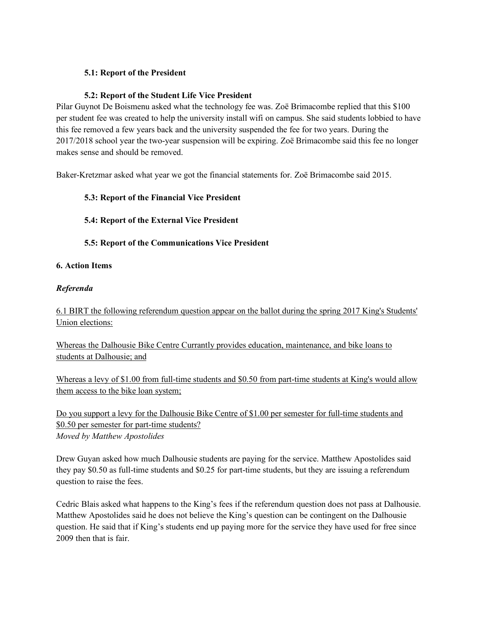# **5.1: Report of the President**

# **5.2: Report of the Student Life Vice President**

Pilar Guynot De Boismenu asked what the technology fee was. Zoë Brimacombe replied that this \$100 per student fee was created to help the university install wifi on campus. She said students lobbied to have this fee removed a few years back and the university suspended the fee for two years. During the 2017/2018 school year the two-year suspension will be expiring. Zoë Brimacombe said this fee no longer makes sense and should be removed.

Baker-Kretzmar asked what year we got the financial statements for. Zoë Brimacombe said 2015.

## **5.3: Report of the Financial Vice President**

# **5.4: Report of the External Vice President**

# **5.5: Report of the Communications Vice President**

## **6. Action Items**

## *Referenda*

6.1 BIRT the following referendum question appear on the ballot during the spring 2017 King's Students' Union elections:

Whereas the Dalhousie Bike Centre Currantly provides education, maintenance, and bike loans to students at Dalhousie; and

Whereas a levy of \$1.00 from full-time students and \$0.50 from part-time students at King's would allow them access to the bike loan system;

Do you support a levy for the Dalhousie Bike Centre of \$1.00 per semester for full-time students and \$0.50 per semester for part-time students? *Moved by Matthew Apostolides*

Drew Guyan asked how much Dalhousie students are paying for the service. Matthew Apostolides said they pay \$0.50 as full-time students and \$0.25 for part-time students, but they are issuing a referendum question to raise the fees.

Cedric Blais asked what happens to the King's fees if the referendum question does not pass at Dalhousie. Matthew Apostolides said he does not believe the King's question can be contingent on the Dalhousie question. He said that if King's students end up paying more for the service they have used for free since 2009 then that is fair.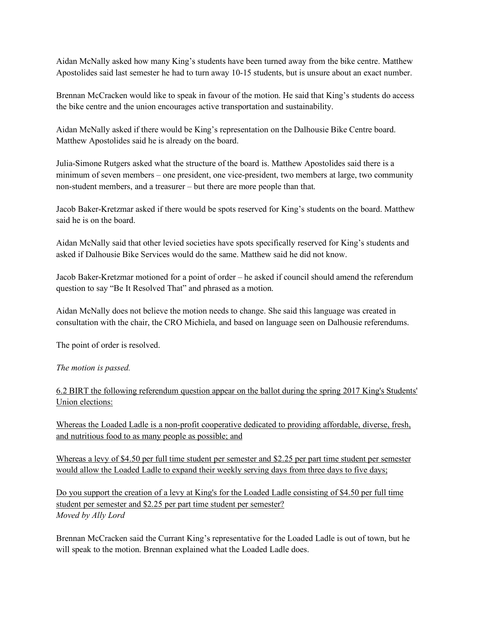Aidan McNally asked how many King's students have been turned away from the bike centre. Matthew Apostolides said last semester he had to turn away 10-15 students, but is unsure about an exact number.

Brennan McCracken would like to speak in favour of the motion. He said that King's students do access the bike centre and the union encourages active transportation and sustainability.

Aidan McNally asked if there would be King's representation on the Dalhousie Bike Centre board. Matthew Apostolides said he is already on the board.

Julia-Simone Rutgers asked what the structure of the board is. Matthew Apostolides said there is a minimum of seven members – one president, one vice-president, two members at large, two community non-student members, and a treasurer – but there are more people than that.

Jacob Baker-Kretzmar asked if there would be spots reserved for King's students on the board. Matthew said he is on the board.

Aidan McNally said that other levied societies have spots specifically reserved for King's students and asked if Dalhousie Bike Services would do the same. Matthew said he did not know.

Jacob Baker-Kretzmar motioned for a point of order – he asked if council should amend the referendum question to say "Be It Resolved That" and phrased as a motion.

Aidan McNally does not believe the motion needs to change. She said this language was created in consultation with the chair, the CRO Michiela, and based on language seen on Dalhousie referendums.

The point of order is resolved.

#### *The motion is passed.*

6.2 BIRT the following referendum question appear on the ballot during the spring 2017 King's Students' Union elections:

Whereas the Loaded Ladle is a non-profit cooperative dedicated to providing affordable, diverse, fresh, and nutritious food to as many people as possible; and

Whereas a levy of \$4.50 per full time student per semester and \$2.25 per part time student per semester would allow the Loaded Ladle to expand their weekly serving days from three days to five days;

Do you support the creation of a levy at King's for the Loaded Ladle consisting of \$4.50 per full time student per semester and \$2.25 per part time student per semester? *Moved by Ally Lord*

Brennan McCracken said the Currant King's representative for the Loaded Ladle is out of town, but he will speak to the motion. Brennan explained what the Loaded Ladle does.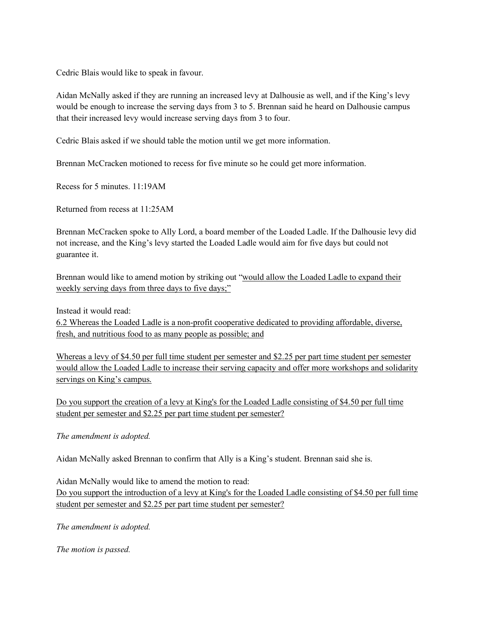Cedric Blais would like to speak in favour.

Aidan McNally asked if they are running an increased levy at Dalhousie as well, and if the King's levy would be enough to increase the serving days from 3 to 5. Brennan said he heard on Dalhousie campus that their increased levy would increase serving days from 3 to four.

Cedric Blais asked if we should table the motion until we get more information.

Brennan McCracken motioned to recess for five minute so he could get more information.

Recess for 5 minutes. 11:19AM

Returned from recess at 11:25AM

Brennan McCracken spoke to Ally Lord, a board member of the Loaded Ladle. If the Dalhousie levy did not increase, and the King's levy started the Loaded Ladle would aim for five days but could not guarantee it.

Brennan would like to amend motion by striking out "would allow the Loaded Ladle to expand their weekly serving days from three days to five days;"

Instead it would read:

6.2 Whereas the Loaded Ladle is a non-profit cooperative dedicated to providing affordable, diverse, fresh, and nutritious food to as many people as possible; and

Whereas a levy of \$4.50 per full time student per semester and \$2.25 per part time student per semester would allow the Loaded Ladle to increase their serving capacity and offer more workshops and solidarity servings on King's campus.

Do you support the creation of a levy at King's for the Loaded Ladle consisting of \$4.50 per full time student per semester and \$2.25 per part time student per semester?

*The amendment is adopted.*

Aidan McNally asked Brennan to confirm that Ally is a King's student. Brennan said she is.

Aidan McNally would like to amend the motion to read: Do you support the introduction of a levy at King's for the Loaded Ladle consisting of \$4.50 per full time student per semester and \$2.25 per part time student per semester?

*The amendment is adopted.*

*The motion is passed.*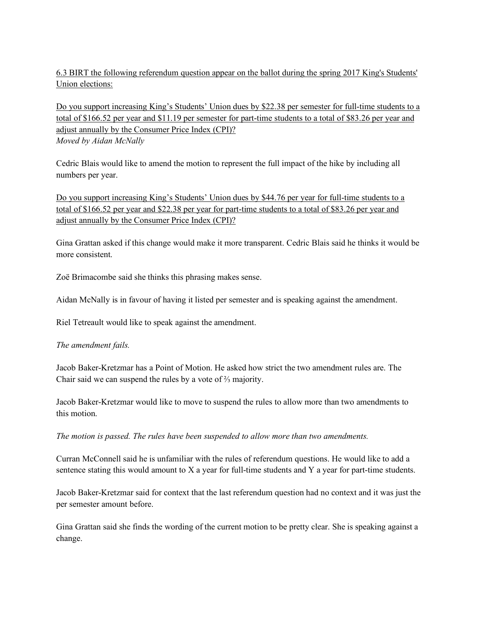6.3 BIRT the following referendum question appear on the ballot during the spring 2017 King's Students' Union elections:

Do you support increasing King's Students' Union dues by \$22.38 per semester for full-time students to a total of \$166.52 per year and \$11.19 per semester for part-time students to a total of \$83.26 per year and adjust annually by the Consumer Price Index (CPI)? *Moved by Aidan McNally*

Cedric Blais would like to amend the motion to represent the full impact of the hike by including all numbers per year.

Do you support increasing King's Students' Union dues by \$44.76 per year for full-time students to a total of \$166.52 per year and \$22.38 per year for part-time students to a total of \$83.26 per year and adjust annually by the Consumer Price Index (CPI)?

Gina Grattan asked if this change would make it more transparent. Cedric Blais said he thinks it would be more consistent.

Zoë Brimacombe said she thinks this phrasing makes sense.

Aidan McNally is in favour of having it listed per semester and is speaking against the amendment.

Riel Tetreault would like to speak against the amendment.

# *The amendment fails.*

Jacob Baker-Kretzmar has a Point of Motion. He asked how strict the two amendment rules are. The Chair said we can suspend the rules by a vote of ⅔ majority.

Jacob Baker-Kretzmar would like to move to suspend the rules to allow more than two amendments to this motion.

*The motion is passed. The rules have been suspended to allow more than two amendments.*

Curran McConnell said he is unfamiliar with the rules of referendum questions. He would like to add a sentence stating this would amount to X a year for full-time students and Y a year for part-time students.

Jacob Baker-Kretzmar said for context that the last referendum question had no context and it was just the per semester amount before.

Gina Grattan said she finds the wording of the current motion to be pretty clear. She is speaking against a change.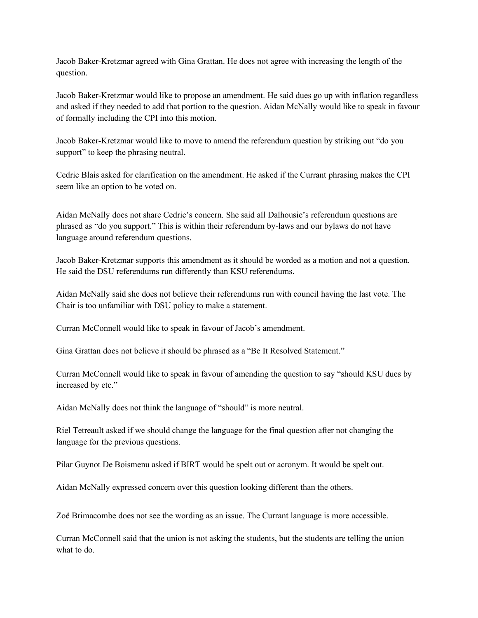Jacob Baker-Kretzmar agreed with Gina Grattan. He does not agree with increasing the length of the question.

Jacob Baker-Kretzmar would like to propose an amendment. He said dues go up with inflation regardless and asked if they needed to add that portion to the question. Aidan McNally would like to speak in favour of formally including the CPI into this motion.

Jacob Baker-Kretzmar would like to move to amend the referendum question by striking out "do you support" to keep the phrasing neutral.

Cedric Blais asked for clarification on the amendment. He asked if the Currant phrasing makes the CPI seem like an option to be voted on.

Aidan McNally does not share Cedric's concern. She said all Dalhousie's referendum questions are phrased as "do you support." This is within their referendum by-laws and our bylaws do not have language around referendum questions.

Jacob Baker-Kretzmar supports this amendment as it should be worded as a motion and not a question. He said the DSU referendums run differently than KSU referendums.

Aidan McNally said she does not believe their referendums run with council having the last vote. The Chair is too unfamiliar with DSU policy to make a statement.

Curran McConnell would like to speak in favour of Jacob's amendment.

Gina Grattan does not believe it should be phrased as a "Be It Resolved Statement."

Curran McConnell would like to speak in favour of amending the question to say "should KSU dues by increased by etc."

Aidan McNally does not think the language of "should" is more neutral.

Riel Tetreault asked if we should change the language for the final question after not changing the language for the previous questions.

Pilar Guynot De Boismenu asked if BIRT would be spelt out or acronym. It would be spelt out.

Aidan McNally expressed concern over this question looking different than the others.

Zoë Brimacombe does not see the wording as an issue. The Currant language is more accessible.

Curran McConnell said that the union is not asking the students, but the students are telling the union what to do.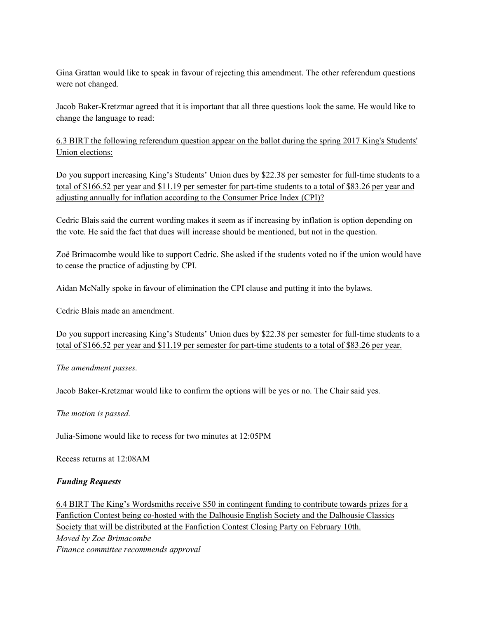Gina Grattan would like to speak in favour of rejecting this amendment. The other referendum questions were not changed.

Jacob Baker-Kretzmar agreed that it is important that all three questions look the same. He would like to change the language to read:

6.3 BIRT the following referendum question appear on the ballot during the spring 2017 King's Students' Union elections:

Do you support increasing King's Students' Union dues by \$22.38 per semester for full-time students to a total of \$166.52 per year and \$11.19 per semester for part-time students to a total of \$83.26 per year and adjusting annually for inflation according to the Consumer Price Index (CPI)?

Cedric Blais said the current wording makes it seem as if increasing by inflation is option depending on the vote. He said the fact that dues will increase should be mentioned, but not in the question.

Zoë Brimacombe would like to support Cedric. She asked if the students voted no if the union would have to cease the practice of adjusting by CPI.

Aidan McNally spoke in favour of elimination the CPI clause and putting it into the bylaws.

Cedric Blais made an amendment.

```
Do you support increasing King's Students' Union dues by $22.38 per semester for full-time students to a
total of $166.52 per year and $11.19 per semester for part-time students to a total of $83.26 per year.
```
*The amendment passes.*

Jacob Baker-Kretzmar would like to confirm the options will be yes or no. The Chair said yes.

*The motion is passed.*

Julia-Simone would like to recess for two minutes at 12:05PM

Recess returns at 12:08AM

#### *Funding Requests*

6.4 BIRT The King's Wordsmiths receive \$50 in contingent funding to contribute towards prizes for a Fanfiction Contest being co-hosted with the Dalhousie English Society and the Dalhousie Classics Society that will be distributed at the Fanfiction Contest Closing Party on February 10th. *Moved by Zoe Brimacombe Finance committee recommends approval*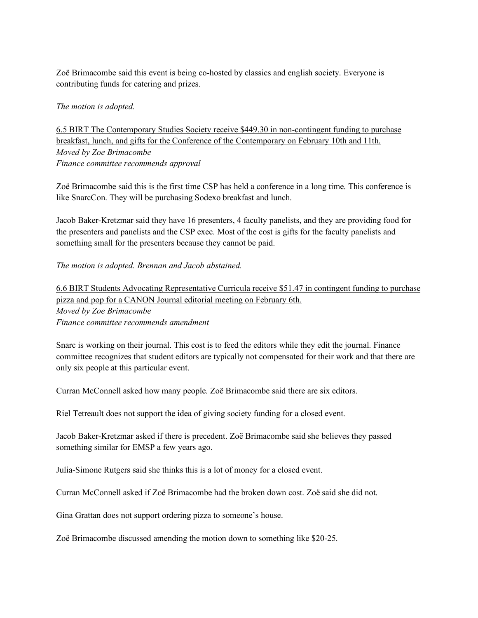Zoë Brimacombe said this event is being co-hosted by classics and english society. Everyone is contributing funds for catering and prizes.

## *The motion is adopted.*

6.5 BIRT The Contemporary Studies Society receive \$449.30 in non-contingent funding to purchase breakfast, lunch, and gifts for the Conference of the Contemporary on February 10th and 11th. *Moved by Zoe Brimacombe Finance committee recommends approval*

Zoë Brimacombe said this is the first time CSP has held a conference in a long time. This conference is like SnarcCon. They will be purchasing Sodexo breakfast and lunch.

Jacob Baker-Kretzmar said they have 16 presenters, 4 faculty panelists, and they are providing food for the presenters and panelists and the CSP exec. Most of the cost is gifts for the faculty panelists and something small for the presenters because they cannot be paid.

*The motion is adopted. Brennan and Jacob abstained.*

6.6 BIRT Students Advocating Representative Curricula receive \$51.47 in contingent funding to purchase pizza and pop for a CANON Journal editorial meeting on February 6th. *Moved by Zoe Brimacombe Finance committee recommends amendment*

Snarc is working on their journal. This cost is to feed the editors while they edit the journal. Finance committee recognizes that student editors are typically not compensated for their work and that there are only six people at this particular event.

Curran McConnell asked how many people. Zoë Brimacombe said there are six editors.

Riel Tetreault does not support the idea of giving society funding for a closed event.

Jacob Baker-Kretzmar asked if there is precedent. Zoë Brimacombe said she believes they passed something similar for EMSP a few years ago.

Julia-Simone Rutgers said she thinks this is a lot of money for a closed event.

Curran McConnell asked if Zoë Brimacombe had the broken down cost. Zoë said she did not.

Gina Grattan does not support ordering pizza to someone's house.

Zoë Brimacombe discussed amending the motion down to something like \$20-25.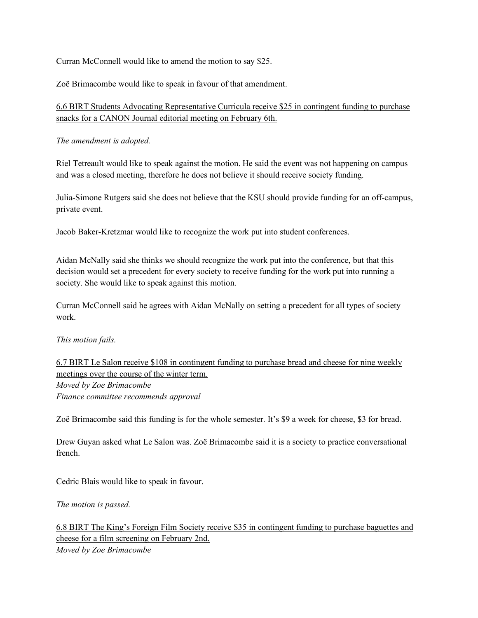Curran McConnell would like to amend the motion to say \$25.

Zoë Brimacombe would like to speak in favour of that amendment.

6.6 BIRT Students Advocating Representative Curricula receive \$25 in contingent funding to purchase snacks for a CANON Journal editorial meeting on February 6th.

*The amendment is adopted.*

Riel Tetreault would like to speak against the motion. He said the event was not happening on campus and was a closed meeting, therefore he does not believe it should receive society funding.

Julia-Simone Rutgers said she does not believe that the KSU should provide funding for an off-campus, private event.

Jacob Baker-Kretzmar would like to recognize the work put into student conferences.

Aidan McNally said she thinks we should recognize the work put into the conference, but that this decision would set a precedent for every society to receive funding for the work put into running a society. She would like to speak against this motion.

Curran McConnell said he agrees with Aidan McNally on setting a precedent for all types of society work.

*This motion fails.*

6.7 BIRT Le Salon receive \$108 in contingent funding to purchase bread and cheese for nine weekly meetings over the course of the winter term. *Moved by Zoe Brimacombe Finance committee recommends approval*

Zoë Brimacombe said this funding is for the whole semester. It's \$9 a week for cheese, \$3 for bread.

Drew Guyan asked what Le Salon was. Zoë Brimacombe said it is a society to practice conversational french.

Cedric Blais would like to speak in favour.

*The motion is passed.*

6.8 BIRT The King's Foreign Film Society receive \$35 in contingent funding to purchase baguettes and cheese for a film screening on February 2nd. *Moved by Zoe Brimacombe*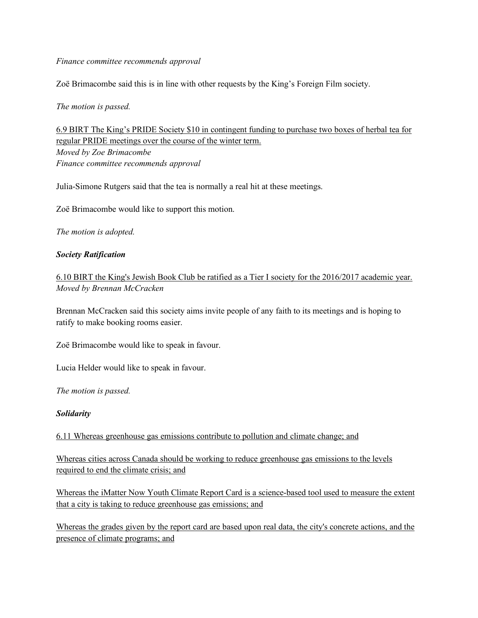#### *Finance committee recommends approval*

Zoë Brimacombe said this is in line with other requests by the King's Foreign Film society.

#### *The motion is passed.*

6.9 BIRT The King's PRIDE Society \$10 in contingent funding to purchase two boxes of herbal tea for regular PRIDE meetings over the course of the winter term. *Moved by Zoe Brimacombe Finance committee recommends approval*

Julia-Simone Rutgers said that the tea is normally a real hit at these meetings.

Zoë Brimacombe would like to support this motion.

*The motion is adopted.*

## *Society Ratification*

6.10 BIRT the King's Jewish Book Club be ratified as a Tier I society for the 2016/2017 academic year. *Moved by Brennan McCracken*

Brennan McCracken said this society aims invite people of any faith to its meetings and is hoping to ratify to make booking rooms easier.

Zoë Brimacombe would like to speak in favour.

Lucia Helder would like to speak in favour.

*The motion is passed.*

#### *Solidarity*

6.11 Whereas greenhouse gas emissions contribute to pollution and climate change; and

Whereas cities across Canada should be working to reduce greenhouse gas emissions to the levels required to end the climate crisis; and

Whereas the iMatter Now Youth Climate Report Card is a science-based tool used to measure the extent that a city is taking to reduce greenhouse gas emissions; and

Whereas the grades given by the report card are based upon real data, the city's concrete actions, and the presence of climate programs; and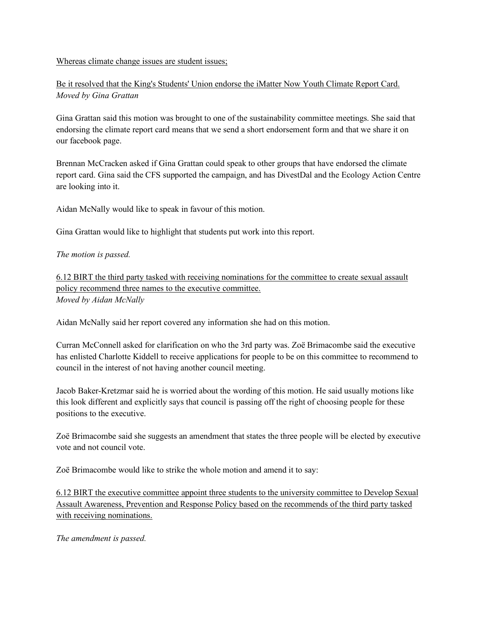#### Whereas climate change issues are student issues;

Be it resolved that the King's Students' Union endorse the iMatter Now Youth Climate Report Card. *Moved by Gina Grattan*

Gina Grattan said this motion was brought to one of the sustainability committee meetings. She said that endorsing the climate report card means that we send a short endorsement form and that we share it on our facebook page.

Brennan McCracken asked if Gina Grattan could speak to other groups that have endorsed the climate report card. Gina said the CFS supported the campaign, and has DivestDal and the Ecology Action Centre are looking into it.

Aidan McNally would like to speak in favour of this motion.

Gina Grattan would like to highlight that students put work into this report.

# *The motion is passed.*

6.12 BIRT the third party tasked with receiving nominations for the committee to create sexual assault policy recommend three names to the executive committee. *Moved by Aidan McNally*

Aidan McNally said her report covered any information she had on this motion.

Curran McConnell asked for clarification on who the 3rd party was. Zoë Brimacombe said the executive has enlisted Charlotte Kiddell to receive applications for people to be on this committee to recommend to council in the interest of not having another council meeting.

Jacob Baker-Kretzmar said he is worried about the wording of this motion. He said usually motions like this look different and explicitly says that council is passing off the right of choosing people for these positions to the executive.

Zoë Brimacombe said she suggests an amendment that states the three people will be elected by executive vote and not council vote.

Zoë Brimacombe would like to strike the whole motion and amend it to say:

6.12 BIRT the executive committee appoint three students to the university committee to Develop Sexual Assault Awareness, Prevention and Response Policy based on the recommends of the third party tasked with receiving nominations.

*The amendment is passed.*